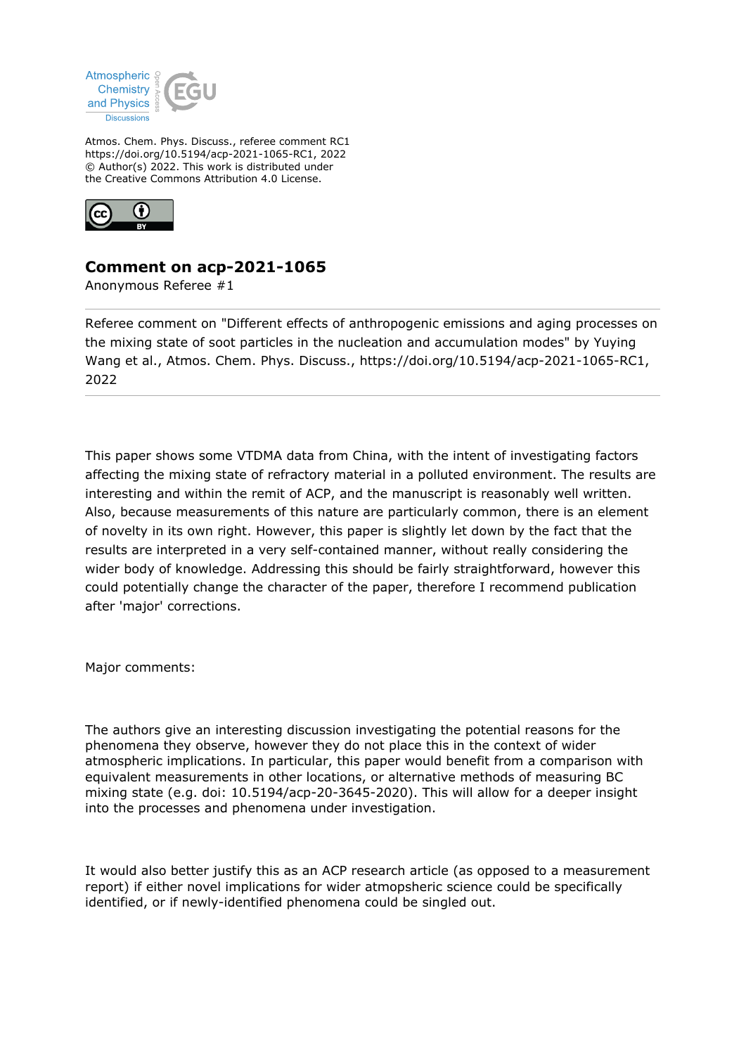

Atmos. Chem. Phys. Discuss., referee comment RC1 https://doi.org/10.5194/acp-2021-1065-RC1, 2022 © Author(s) 2022. This work is distributed under the Creative Commons Attribution 4.0 License.



## **Comment on acp-2021-1065**

Anonymous Referee #1

Referee comment on "Different effects of anthropogenic emissions and aging processes on the mixing state of soot particles in the nucleation and accumulation modes" by Yuying Wang et al., Atmos. Chem. Phys. Discuss., https://doi.org/10.5194/acp-2021-1065-RC1, 2022

This paper shows some VTDMA data from China, with the intent of investigating factors affecting the mixing state of refractory material in a polluted environment. The results are interesting and within the remit of ACP, and the manuscript is reasonably well written. Also, because measurements of this nature are particularly common, there is an element of novelty in its own right. However, this paper is slightly let down by the fact that the results are interpreted in a very self-contained manner, without really considering the wider body of knowledge. Addressing this should be fairly straightforward, however this could potentially change the character of the paper, therefore I recommend publication after 'major' corrections.

Major comments:

The authors give an interesting discussion investigating the potential reasons for the phenomena they observe, however they do not place this in the context of wider atmospheric implications. In particular, this paper would benefit from a comparison with equivalent measurements in other locations, or alternative methods of measuring BC mixing state (e.g. doi: 10.5194/acp-20-3645-2020). This will allow for a deeper insight into the processes and phenomena under investigation.

It would also better justify this as an ACP research article (as opposed to a measurement report) if either novel implications for wider atmopsheric science could be specifically identified, or if newly-identified phenomena could be singled out.